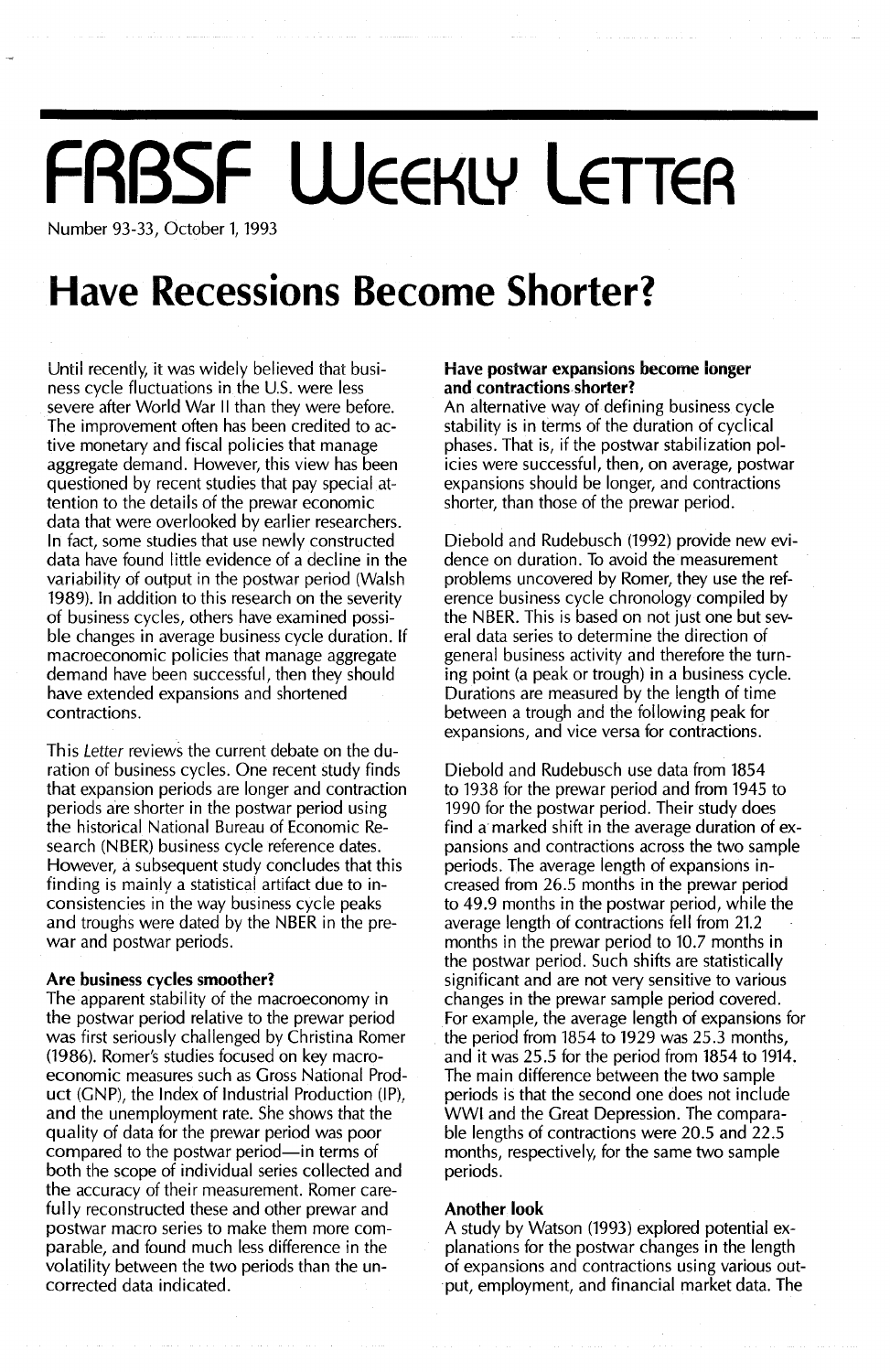# **FRBSF WEEKLY LETTER**

Number 93-33, October 1, 1993

## **Have Recessions Become Shorter?**

Until recently, it was widely believed that business cycle fluctuations in the U.S. were less severe after World War II than they were before. The improvement often has been credited to active monetary and fiscal policies that manage aggregate demand. However, this view has been questioned by recent studies that pay special attention to the details of the prewar economic data that were overlooked by earlier researchers. In fact, some studies that use newly constructed data have found little evidence of a decline in the variability of output in the postwar period (Walsh 1989). In addition to this research on the severity of business cycles, others have examined possible changes in average business cycle duration. If macroeconomic policies that manage aggregate demand have been successful, then they should have extended expansions and shortened contractions.

This Letter reviews the current debate on the duration of business cycles. One recent study finds that expansion periods are longer and contraction periods are shorter in the postwar period using the historical National Bureau of Economic Research (NBER) business cycle reference dates. However, a subsequent study concludes that this finding is mainly a statistical artifact due to inconsistencies in the way business cycle peaks and troughs were dated by the NBER in the prewar and postwar periods.

#### Are business cycles smoother?

The apparent stability of the macroeconomy in the postwar period relative to the prewar period was first seriously challenged by Christina Romer (1986). Romer's studies focused on key macroeconomic measures such as Gross National Product  $(GNP)$ , the Index of Industrial Production  $(\text{IP})$ , and the unemployment rate. She shows that the quality of data for the prewar period was poor compared to the postwar period-in terms of both the scope of individual series collected and the accuracy of their measurement. Romer carefully reconstructed these and other prewar and postwar macro series to make them more comparable, and found much less difference in the volatility between the two periods than the uncorrected data indicated.

#### Have postwar expansions become longer and contractions shorter?

An alternative way of defining business cycle stability is in terms of the duration of cyclical phases. That is, if the postwar stabilization policies were successful, then, on average, postwar expansions should be longer, and contractions shorter, than those of the prewar period.

Diebold and Rudebusch (1992) provide new evidence on duration. To avoid the measurement problems uncovered by Romer, they use the reference business cycle chronology compiled by the NBER. This is based on not just one but several data series to determine the direction of general business activity and therefore the turning point (a peak or trough) in a business cycle. Durations are measured by the length of time between a trough and the following peak for expansions, and vice versa for contractions.

Diebold and Rudebusch use data from 1854 to 1938 for the prewar period and from 1945 to 1990 for the postwar period. Their study does find a marked shift in the average duration of expansions and contractions across the two sample periods. The average length of expansions increased from 26.5 months in the prewar period to 49.9 months in the postwar period, while the average length of contractions fell from 21.2 months in the prewar period to 10.7 months in the postwar period. Such shifts are statistically significant and are not very sensitive to various changes in the prewar sample period covered. For example, the average length of expansions for the period from 1854 to 1929 was 25.3 months, and it was 25.5 for the period from 1854 to 1914. The main difference between the two sample periods is that the second one does not include WWI and the Great Depression. The comparable lengths of contractions were 20.5 and 22.5 months, respectively, for the same two sample periods.

#### Another look

A study by Watson (1993) explored potential explanations for the postwar changes in the length of expansions and contractions using various output, employment, and financial market data. The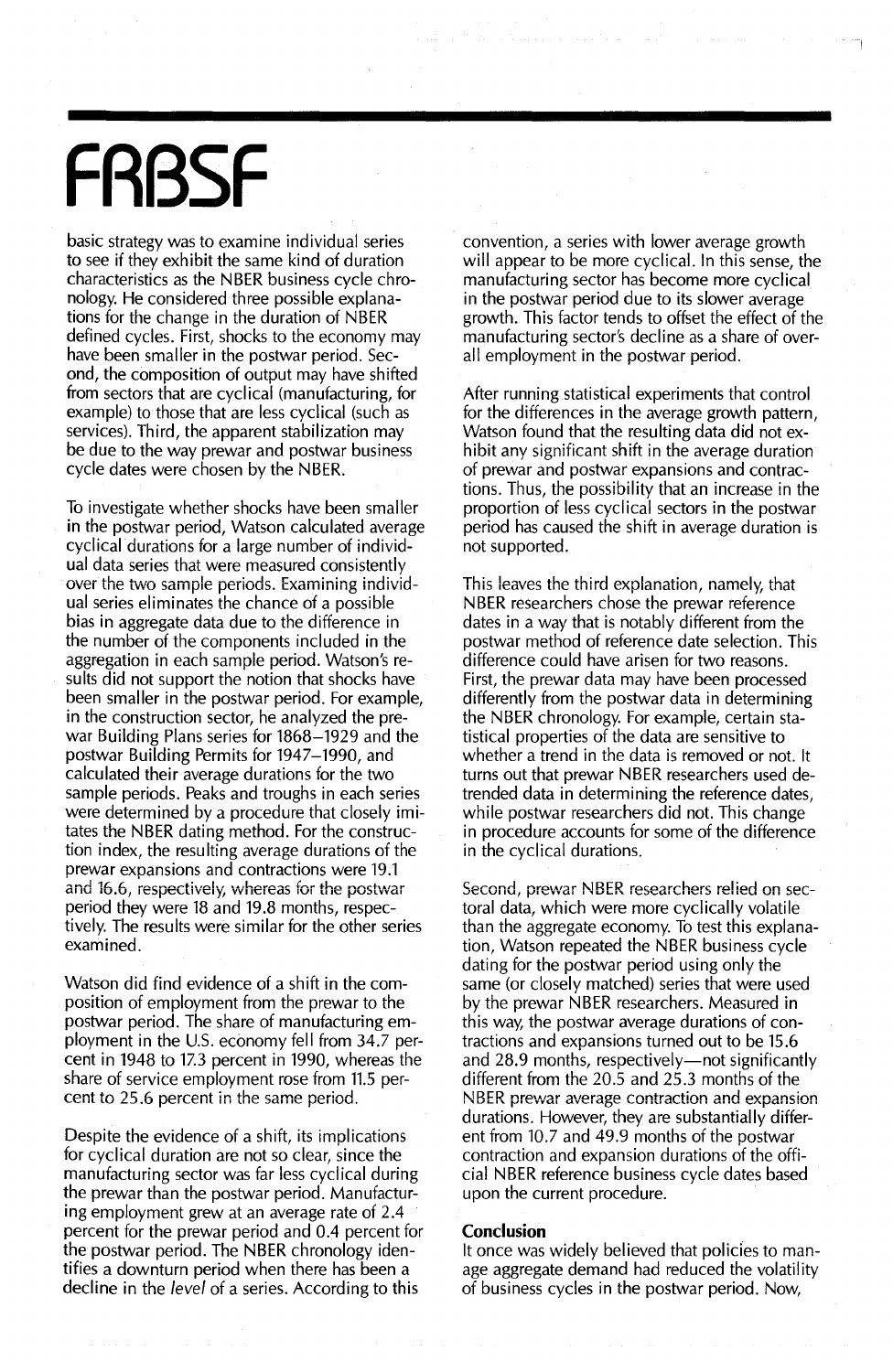# **FRBSF**

basic strategy was to examine individual series to see if they exhibit the same kind of duration characteristics as the NBER business cycle chronology. He considered three possible explanations for the change in the duration of NBER defined cycles. First, shocks to the economy may have been smaller in the postwar period. Second, the composition of output may have shifted from sectors that are cyclical (manufacturing, for example) to those that are less cyclical (such as services). Third, the apparent stabilization may be due to the way prewar and postwar business cycle dates were chosen by the NBER.

To investigate whether shocks have been smaller in the postwar period, Watson calculated average cyclical durations for a large number of individual data series that were measured consistently over the two sample periods. Examining individual series eliminates the chance of a possible bias in aggregate data due to the difference in the number of the components included in the aggregation in each sample period. Watson's results did not support the notion that shocks have been smaller in the postwar period. For example, in the construction sector, he analyzed the prewar Building Plans series for 1868-1929 and the postwar Building Permits for 1947-1990, and calculated their average durations for the two sample periods. Peaks and troughs in each series were determined by a procedure that closely imitates the NBER dating method. For the construction index, the resulting average durations of the prewar expansions and contractions were 19.1 and 16.6, respectively, whereas for the postwar period they were 18 and 19.8 months, respectively. The results were similar for the other series examined.

Watson did find evidence of a shift in the composition of employment from the prewar to the postwar period. The share of manufacturing employment in the U.S. economy fell from 34.7 percent in 1948 to 17.3 percent in 1990, whereas the share of service employment rose from 11.5 per**cent to 25.6 percent in the same period.**

Despite the evidence of a shift, its implications for cyclical duration are not so clear, since the manufacturing sector was far less cyclical during the prewar than the postwar period. Manufacturing employment grew at an average rate of 2.4 percent for the prewar period and 0.4 percent for the postwar period. The NBER chronology identifies a downturn period when there has been a decline in the *level* of a series. According to this

convention, a series with lower average growth will appear to be more cyclical. In this sense, the manufacturing sector has become more cyclical in the postwar period due to its slower average growth. This factor tends to offset the effect of the manufacturing sector's decline as a share of overall employment in the postwar period.

After running statistical experiments that control for the differences in the average growth pattern, Watson found that the resulting data did not exhibit any significant shift in the average duration of prewar and postwar expansions and contractions. Thus, the possibility that an increase in the proportion of less cyclical sectors in the postwar period has caused the shift in average duration is not supported.

This leaves the third explanation, namely, that NBER researchers chose the prewar reference dates in a way that is notably different from the postwar method of reference date selection. This difference could have arisen for two reasons. First, the prewar data may have been processed differently from the postwar data in determining the NBER chronology. For example, certain statistical properties of the data are sensitive to whether a trend in the data is removed or not. It turns out that prewar NBER researchers used detrended data in determining the reference dates, while postwar researchers did not. This change in procedure accounts for some of the difference in the cyclical durations.

**Second, prewar NBER researchers relied on sec**toral data, which were more cyclically volatile than the aggregate economy. To test this explanation, Watson repeated the NBER business cycle dating for the postwar period using only the same (or closely matched) series that were used by the prewar NBER researchers. Measured in this way, the postwar average durations of contractions and expansions turned out to be 15.6 and 28.9 months, respectively—not significantly different from the 20.5 and 25.3 months of the **NBER** prewar average contraction and expansion durations. However, they are substantially different from 10.7 and 49.9 months of the postwar contraction and expansion durations of the official NBER reference business cycle dates based upon the current procedure.

#### **Conclusion**

It once was widely believed that policies to manage aggregate demand had reduced the volatility of business cycles in the postwar period. Now,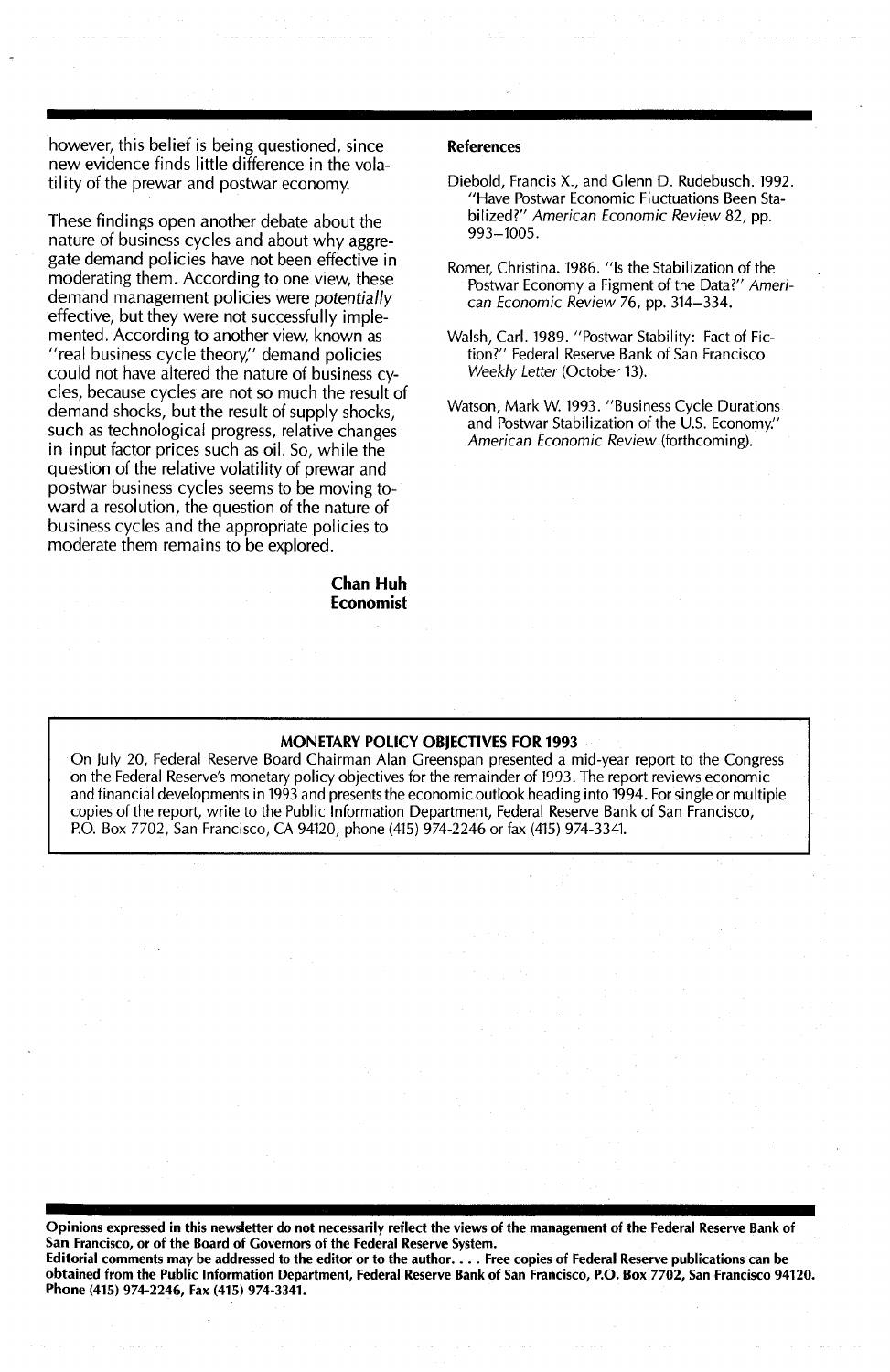however, this belief is being questioned, since new evidence finds little difference in the volatility of the prewar and postwar economy.

These findings open another debate about the nature of business cycles and about why aggregate demand policies have not been effective in moderating them. According to one view, these demand management policies were *potentially* effective, but they were not successfully implemented. According to another view, known as "real business cycle theory," demand policies could not have altered the nature of business cycles, because cycles are not so much the result of demand shocks, but the result of supply shocks, such as technological progress, relative changes in input factor prices such as oil. So, while the question of the relative volatility of prewar and postwar business cycles seems to be moving toward a resolution, the question of the nature of business cycles and the appropriate policies to moderate them remains to be explored.

> Chan Huh Economist

#### References

- Diebold, Francis X., and Glenn D. Rudebusch. 1992. "Have Postwar Economic Fluctuations Been Stabilized?" American Economic Review 82, pp. 993-1005.
- Romer, Christina. 1986. "Is the Stabilization of the Postwar Economy a Figment of the Data?" American Economic Review 76, pp. 314-334.
- Walsh, Carl. 1989. "Postwar Stability: Fact of Fiction?" Federal Reserve Bank of San Francisco Weekly Letter (October 13).
- Watson, Mark W. 1993. "Business Cycle Durations and Postwar Stabilization of the  $\dot{\cup}$ .S. Economy." American Economic Review (forthcoming).

### MONETARY POLICY OBJECTIVES FOR 1993

On July 20, Federal Reserve Board Chairman Alan Greenspan presented a mid-year report to the Congress on the Federal Reserve's monetary policy objectives for the remainder of 1993. The report reviews economic and financial developments in 1993 and presents the economic outlook heading into 1994. For single or multiple copies of the report, write to the Public Information Department, Federal Reserve Bank of San Francisco, P.O. Box 7702, San Francisco, CA 94120, phone (415) 974-2246 or fax (415) 974-3341.

Opinions expressed in this newsletter do not necessarily reflect the views of the management of the Federal Reserve Bank of San Francisco, or of the Board of Governors of the Federal Reserve System.

Editorial comments may be addressed to the editor or to the author.... Free copies of Federal Reserve publications can be obtained from the Public Information Department, Federal Reserve Bank of San Francisco, P.O. Box 7702, San Francisco 94120. Phone (415) 974-2246, Fax (415) 974-3341.